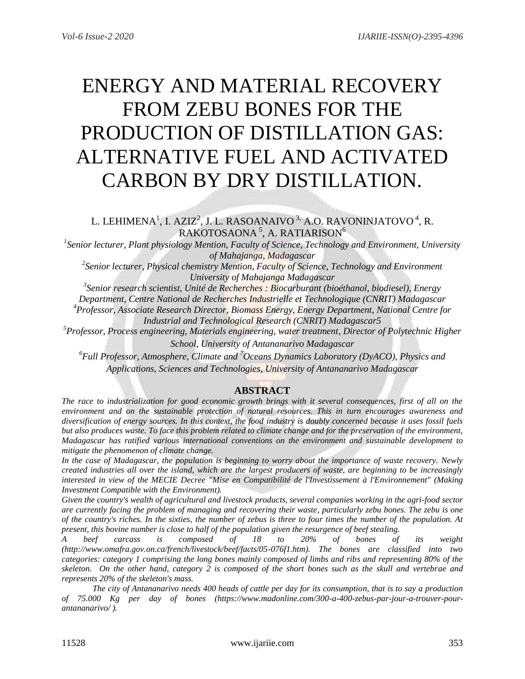# ENERGY AND MATERIAL RECOVERY FROM ZEBU BONES FOR THE PRODUCTION OF DISTILLATION GAS: ALTERNATIVE FUEL AND ACTIVATED CARBON BY DRY DISTILLATION.

L. LEHIMENA $^1$ , I. AZIZ $^2$ , J. L. RASOANAIVO  $^3$  A.O. RAVONINJATOVO  $^4$ , R.  $\mathsf{RAKOTOSAONA}^{\mathsf{5}}, \mathsf{A.}\ \mathsf{RATIARISON}^{\mathsf{6}}$ 

*1 Senior lecturer, Plant physiology Mention, Faculty of Science, Technology and Environment, University of Mahajanga, Madagascar*

*2 Senior lecturer, Physical chemistry Mention, Faculty of Science, Technology and Environment University of Mahajanga Madagascar*

*3 Senior research scientist, Unité de Recherches : Biocarburant (bioéthanol, biodiesel), Energy Department, Centre National de Recherches Industrielle et Technologique (CNRIT) Madagascar*

*<sup>4</sup>Professor, Associate Research Director, Biomass Energy, Energy Department, National Centre for* 

*Industrial and Technological Research (CNRIT) Madagascar5*

*<sup>5</sup>Professor, Process engineering, Materials engineering, water treatment, Director of Polytechnic Higher* 

*School, University of Antananarivo Madagascar* 

*6 Full Professor, Atmosphere, Climate and <sup>7</sup>Oceans Dynamics Laboratory (DyACO), Physics and Applications, Sciences and Technologies, University of Antananarivo Madagascar*

# **ABSTRACT**

*The race to industrialization for good economic growth brings with it several consequences, first of all on the environment and on the sustainable protection of natural resources. This in turn encourages awareness and diversification of energy sources. In this context, the food industry is doubly concerned because it uses fossil fuels but also produces waste. To face this problem related to climate change and for the preservation of the environment, Madagascar has ratified various international conventions on the environment and sustainable development to mitigate the phenomenon of climate change.*

*In the case of Madagascar, the population is beginning to worry about the importance of waste recovery. Newly created industries all over the island, which are the largest producers of waste, are beginning to be increasingly interested in view of the MECIE Decree "Mise en Compatibilité de l'Investissement à l'Environnement" (Making Investment Compatible with the Environment).* 

*Given the country's wealth of agricultural and livestock products, several companies working in the agri-food sector are currently facing the problem of managing and recovering their waste, particularly zebu bones. The zebu is one of the country's riches. In the sixties, the number of zebus is three to four times the number of the population. At present, this bovine number is close to half of the population given the resurgence of beef stealing.*

*A beef carcass is composed of 18 to 20% of bones of its weight (http://www.omafra.gov.on.ca/french/livestock/beef/facts/05-076f1.htm). The bones are classified into two categories: category 1 comprising the long bones mainly composed of limbs and ribs and representing 80% of the skeleton. On the other hand, category 2 is composed of the short bones such as the skull and vertebrae and represents 20% of the skeleton's mass.*

*The city of Antananarivo needs 400 heads of cattle per day for its consumption, that is to say a production of 75.000 Kg per day of bones (https://www.madonline.com/300-a-400-zebus-par-jour-a-trouver-pourantananarivo/ ).*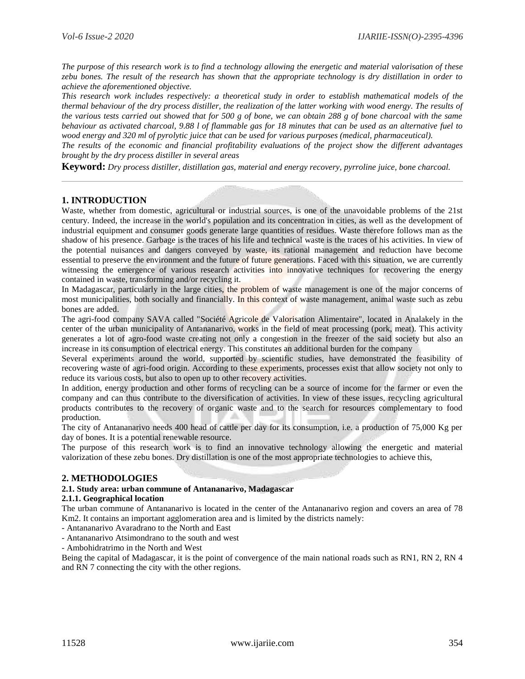*The purpose of this research work is to find a technology allowing the energetic and material valorisation of these zebu bones. The result of the research has shown that the appropriate technology is dry distillation in order to achieve the aforementioned objective.*

*This research work includes respectively: a theoretical study in order to establish mathematical models of the thermal behaviour of the dry process distiller, the realization of the latter working with wood energy. The results of the various tests carried out showed that for 500 g of bone, we can obtain 288 g of bone charcoal with the same behaviour as activated charcoal, 9.88 l of flammable gas for 18 minutes that can be used as an alternative fuel to wood energy and 320 ml of pyrolytic juice that can be used for various purposes (medical, pharmaceutical).*

*The results of the economic and financial profitability evaluations of the project show the different advantages brought by the dry process distiller in several areas*

**Keyword:** *Dry process distiller, distillation gas, material and energy recovery, pyrroline juice, bone charcoal.*

## **1. INTRODUCTION**

Waste, whether from domestic, agricultural or industrial sources, is one of the unavoidable problems of the 21st century. Indeed, the increase in the world's population and its concentration in cities, as well as the development of industrial equipment and consumer goods generate large quantities of residues. Waste therefore follows man as the shadow of his presence. Garbage is the traces of his life and technical waste is the traces of his activities. In view of the potential nuisances and dangers conveyed by waste, its rational management and reduction have become essential to preserve the environment and the future of future generations. Faced with this situation, we are currently witnessing the emergence of various research activities into innovative techniques for recovering the energy contained in waste, transforming and/or recycling it.

In Madagascar, particularly in the large cities, the problem of waste management is one of the major concerns of most municipalities, both socially and financially. In this context of waste management, animal waste such as zebu bones are added.

The agri-food company SAVA called "Société Agricole de Valorisation Alimentaire", located in Analakely in the center of the urban municipality of Antananarivo, works in the field of meat processing (pork, meat). This activity generates a lot of agro-food waste creating not only a congestion in the freezer of the said society but also an increase in its consumption of electrical energy. This constitutes an additional burden for the company

Several experiments around the world, supported by scientific studies, have demonstrated the feasibility of recovering waste of agri-food origin. According to these experiments, processes exist that allow society not only to reduce its various costs, but also to open up to other recovery activities.

In addition, energy production and other forms of recycling can be a source of income for the farmer or even the company and can thus contribute to the diversification of activities. In view of these issues, recycling agricultural products contributes to the recovery of organic waste and to the search for resources complementary to food production.

The city of Antananarivo needs 400 head of cattle per day for its consumption, i.e. a production of 75,000 Kg per day of bones. It is a potential renewable resource.

The purpose of this research work is to find an innovative technology allowing the energetic and material valorization of these zebu bones. Dry distillation is one of the most appropriate technologies to achieve this,

## **2. METHODOLOGIES**

#### **2.1. Study area: urban commune of Antananarivo, Madagascar**

#### **2.1.1. Geographical location**

The urban commune of Antananarivo is located in the center of the Antananarivo region and covers an area of 78 Km2. It contains an important agglomeration area and is limited by the districts namely:

- Antananarivo Avaradrano to the North and East
- Antananarivo Atsimondrano to the south and west
- Ambohidratrimo in the North and West

Being the capital of Madagascar, it is the point of convergence of the main national roads such as RN1, RN 2, RN 4 and RN 7 connecting the city with the other regions.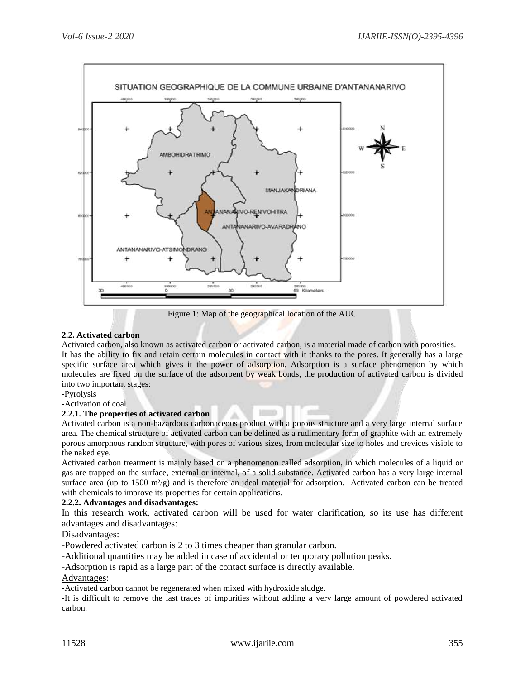

Figure 1: Map of the geographical location of the AUC

## **2.2. Activated carbon**

Activated carbon, also known as activated carbon or activated carbon, is a material made of carbon with porosities. It has the ability to fix and retain certain molecules in contact with it thanks to the pores. It generally has a large specific surface area which gives it the power of adsorption. Adsorption is a surface phenomenon by which molecules are fixed on the surface of the adsorbent by weak bonds, the production of activated carbon is divided into two important stages:

-Pyrolysis

-Activation of coal

#### **2.2.1. The properties of activated carbon**

Activated carbon is a non-hazardous carbonaceous product with a porous structure and a very large internal surface area. The chemical structure of activated carbon can be defined as a rudimentary form of graphite with an extremely porous amorphous random structure, with pores of various sizes, from molecular size to holes and crevices visible to the naked eye.

Activated carbon treatment is mainly based on a phenomenon called adsorption, in which molecules of a liquid or gas are trapped on the surface, external or internal, of a solid substance. Activated carbon has a very large internal surface area (up to  $1500 \text{ m}^2/\text{g}$ ) and is therefore an ideal material for adsorption. Activated carbon can be treated with chemicals to improve its properties for certain applications.

#### **2.2.2. Advantages and disadvantages:**

In this research work, activated carbon will be used for water clarification, so its use has different advantages and disadvantages:

#### Disadvantages:

-Powdered activated carbon is 2 to 3 times cheaper than granular carbon.

-Additional quantities may be added in case of accidental or temporary pollution peaks.

-Adsorption is rapid as a large part of the contact surface is directly available.

## Advantages:

-Activated carbon cannot be regenerated when mixed with hydroxide sludge.

-It is difficult to remove the last traces of impurities without adding a very large amount of powdered activated carbon.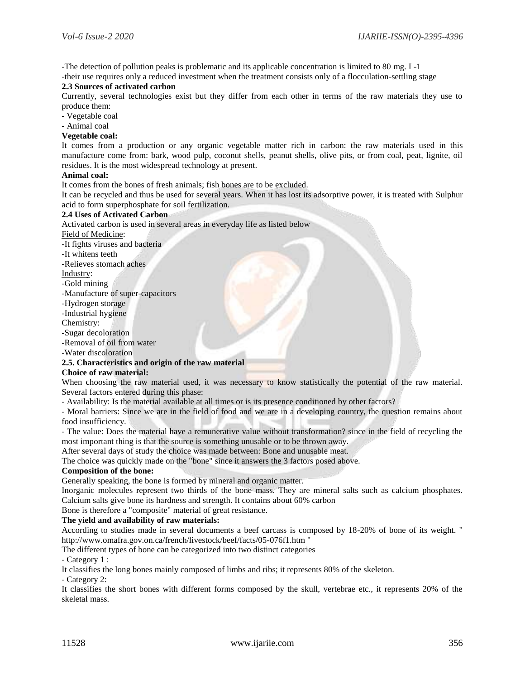-The detection of pollution peaks is problematic and its applicable concentration is limited to 80 mg. L-1 -their use requires only a reduced investment when the treatment consists only of a flocculation-settling stage

#### **2.3 Sources of activated carbon**

Currently, several technologies exist but they differ from each other in terms of the raw materials they use to produce them:

- Vegetable coal

- Animal coal

#### **Vegetable coal:**

It comes from a production or any organic vegetable matter rich in carbon: the raw materials used in this manufacture come from: bark, wood pulp, coconut shells, peanut shells, olive pits, or from coal, peat, lignite, oil residues. It is the most widespread technology at present.

#### **Animal coal:**

It comes from the bones of fresh animals; fish bones are to be excluded.

It can be recycled and thus be used for several years. When it has lost its adsorptive power, it is treated with Sulphur acid to form superphosphate for soil fertilization.

#### **2.4 Uses of Activated Carbon**

Activated carbon is used in several areas in everyday life as listed below

Field of Medicine:

-It fights viruses and bacteria

-It whitens teeth

-Relieves stomach aches

Industry:

-Gold mining

-Manufacture of super-capacitors

-Hydrogen storage

-Industrial hygiene

Chemistry:

-Sugar decoloration

-Removal of oil from water

-Water discoloration

#### **2.5. Characteristics and origin of the raw material**

#### **Choice of raw material:**

When choosing the raw material used, it was necessary to know statistically the potential of the raw material. Several factors entered during this phase:

- Availability: Is the material available at all times or is its presence conditioned by other factors?

- Moral barriers: Since we are in the field of food and we are in a developing country, the question remains about food insufficiency.

- The value: Does the material have a remunerative value without transformation? since in the field of recycling the most important thing is that the source is something unusable or to be thrown away.

After several days of study the choice was made between: Bone and unusable meat.

The choice was quickly made on the "bone" since it answers the 3 factors posed above.

#### **Composition of the bone:**

Generally speaking, the bone is formed by mineral and organic matter.

Inorganic molecules represent two thirds of the bone mass. They are mineral salts such as calcium phosphates. Calcium salts give bone its hardness and strength. It contains about 60% carbon

Bone is therefore a "composite" material of great resistance.

#### **The yield and availability of raw materials:**

According to studies made in several documents a beef carcass is composed by 18-20% of bone of its weight. " http://www.omafra.gov.on.ca/french/livestock/beef/facts/05-076f1.htm "

The different types of bone can be categorized into two distinct categories

#### - Category 1 :

It classifies the long bones mainly composed of limbs and ribs; it represents 80% of the skeleton.

- Category 2:

It classifies the short bones with different forms composed by the skull, vertebrae etc., it represents 20% of the skeletal mass.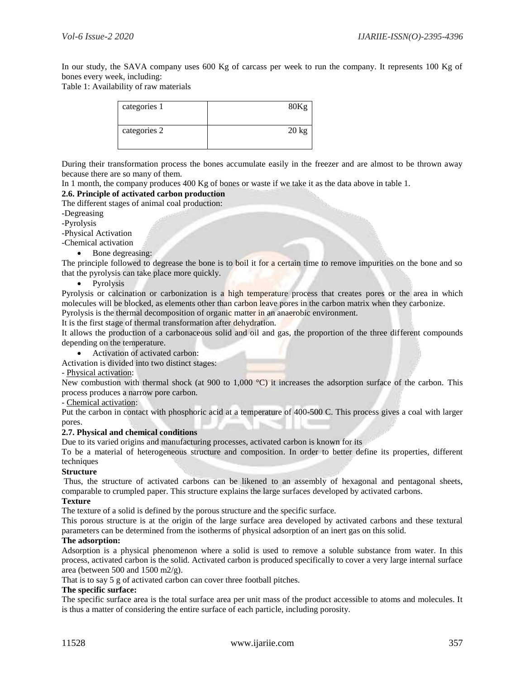In our study, the SAVA company uses 600 Kg of carcass per week to run the company. It represents 100 Kg of bones every week, including:

Table 1: Availability of raw materials

| categories 1 | 80Kg            |
|--------------|-----------------|
| categories 2 | $20 \text{ kg}$ |

During their transformation process the bones accumulate easily in the freezer and are almost to be thrown away because there are so many of them.

In 1 month, the company produces 400 Kg of bones or waste if we take it as the data above in table 1.

## **2.6. Principle of activated carbon production**

The different stages of animal coal production:

-Degreasing

-Pyrolysis

-Physical Activation

-Chemical activation

Bone degreasing:

The principle followed to degrease the bone is to boil it for a certain time to remove impurities on the bone and so that the pyrolysis can take place more quickly.

• Pyrolysis

Pyrolysis or calcination or carbonization is a high temperature process that creates pores or the area in which molecules will be blocked, as elements other than carbon leave pores in the carbon matrix when they carbonize.

Pyrolysis is the thermal decomposition of organic matter in an anaerobic environment.

It is the first stage of thermal transformation after dehydration.

It allows the production of a carbonaceous solid and oil and gas, the proportion of the three different compounds depending on the temperature.

Activation of activated carbon:

Activation is divided into two distinct stages:

- Physical activation:

New combustion with thermal shock (at 900 to 1,000 °C) it increases the adsorption surface of the carbon. This process produces a narrow pore carbon.

- Chemical activation:

Put the carbon in contact with phosphoric acid at a temperature of 400-500 C. This process gives a coal with larger pores.

#### **2.7. Physical and chemical conditions**

Due to its varied origins and manufacturing processes, activated carbon is known for its

To be a material of heterogeneous structure and composition. In order to better define its properties, different techniques

#### **Structure**

Thus, the structure of activated carbons can be likened to an assembly of hexagonal and pentagonal sheets, comparable to crumpled paper. This structure explains the large surfaces developed by activated carbons.

#### **Texture**

The texture of a solid is defined by the porous structure and the specific surface.

This porous structure is at the origin of the large surface area developed by activated carbons and these textural parameters can be determined from the isotherms of physical adsorption of an inert gas on this solid.

#### **The adsorption:**

Adsorption is a physical phenomenon where a solid is used to remove a soluble substance from water. In this process, activated carbon is the solid. Activated carbon is produced specifically to cover a very large internal surface area (between 500 and 1500 m2/g).

That is to say 5 g of activated carbon can cover three football pitches.

## **The specific surface:**

The specific surface area is the total surface area per unit mass of the product accessible to atoms and molecules. It is thus a matter of considering the entire surface of each particle, including porosity.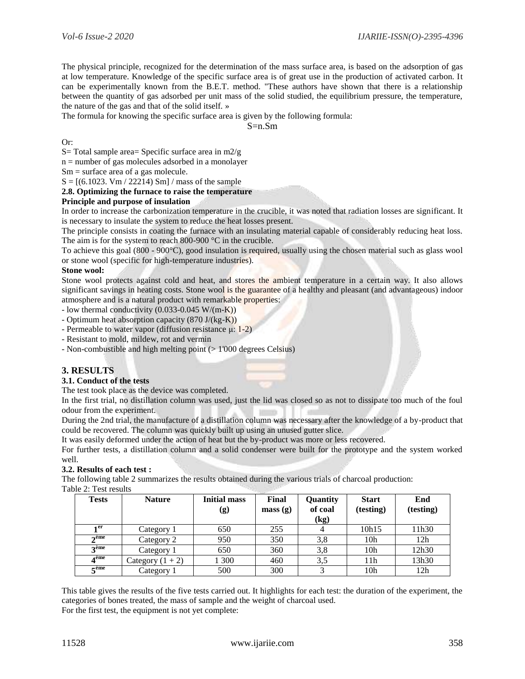The physical principle, recognized for the determination of the mass surface area, is based on the adsorption of gas at low temperature. Knowledge of the specific surface area is of great use in the production of activated carbon. It can be experimentally known from the B.E.T. method. "These authors have shown that there is a relationship between the quantity of gas adsorbed per unit mass of the solid studied, the equilibrium pressure, the temperature, the nature of the gas and that of the solid itself. »

The formula for knowing the specific surface area is given by the following formula:

 $S=n$  Sm.

Or:

S= Total sample area= Specific surface area in  $m2/g$ 

 $n =$  number of gas molecules adsorbed in a monolayer

Sm = surface area of a gas molecule.

 $S = [(6.1023, Vm / 22214) Sm] / mass of the sample$ 

**2.8. Optimizing the furnace to raise the temperature**

## **Principle and purpose of insulation**

In order to increase the carbonization temperature in the crucible, it was noted that radiation losses are significant. It is necessary to insulate the system to reduce the heat losses present.

The principle consists in coating the furnace with an insulating material capable of considerably reducing heat loss. The aim is for the system to reach 800-900 °C in the crucible.

To achieve this goal (800 - 900°C), good insulation is required, usually using the chosen material such as glass wool or stone wool (specific for high-temperature industries).

#### **Stone wool:**

Stone wool protects against cold and heat, and stores the ambient temperature in a certain way. It also allows significant savings in heating costs. Stone wool is the guarantee of a healthy and pleasant (and advantageous) indoor atmosphere and is a natural product with remarkable properties:

- low thermal conductivity  $(0.033 - 0.045 \text{ W/(m-K)})$ 

- Optimum heat absorption capacity  $(870 \text{ J/(kg-K)})$
- Permeable to water vapor (diffusion resistance  $\mu$ : 1-2)
- Resistant to mold, mildew, rot and vermin
- Non-combustible and high melting point (> 1'000 degrees Celsius)

## **3. RESULTS**

#### **3.1. Conduct of the tests**

The test took place as the device was completed.

In the first trial, no distillation column was used, just the lid was closed so as not to dissipate too much of the foul odour from the experiment.

During the 2nd trial, the manufacture of a distillation column was necessary after the knowledge of a by-product that could be recovered. The column was quickly built up using an unused gutter slice.

It was easily deformed under the action of heat but the by-product was more or less recovered.

For further tests, a distillation column and a solid condenser were built for the prototype and the system worked well.

#### **3.2. Results of each test :**

The following table 2 summarizes the results obtained during the various trials of charcoal production: Table 2: Test results

| <b>Tests</b>   | <b>Nature</b>      | <b>Initial mass</b><br>(g) | Final<br>mass(g) | Quantity<br>of coal<br>(kg) | <b>Start</b><br>(testing) | End<br>(testing) |
|----------------|--------------------|----------------------------|------------------|-----------------------------|---------------------------|------------------|
| 1 er           | Category 1         | 650                        | 255              |                             | 10h15                     | 11h30            |
| $\gamma$ ème   | Category 2         | 950                        | 350              | 3,8                         | 10 <sub>h</sub>           | 12h              |
| $2$ ème        | Category 1         | 650                        | 360              | 3,8                         | 10 <sub>h</sub>           | 12h30            |
| ⊿ème           | Category $(1 + 2)$ | 1 300                      | 460              | 3,5                         | 11h                       | 13h30            |
| $\epsilon$ ème | Category 1         | 500                        | 300              |                             | 10 <sub>h</sub>           | 12h              |

This table gives the results of the five tests carried out. It highlights for each test: the duration of the experiment, the categories of bones treated, the mass of sample and the weight of charcoal used. For the first test, the equipment is not yet complete:

11528 www.ijariie.com 358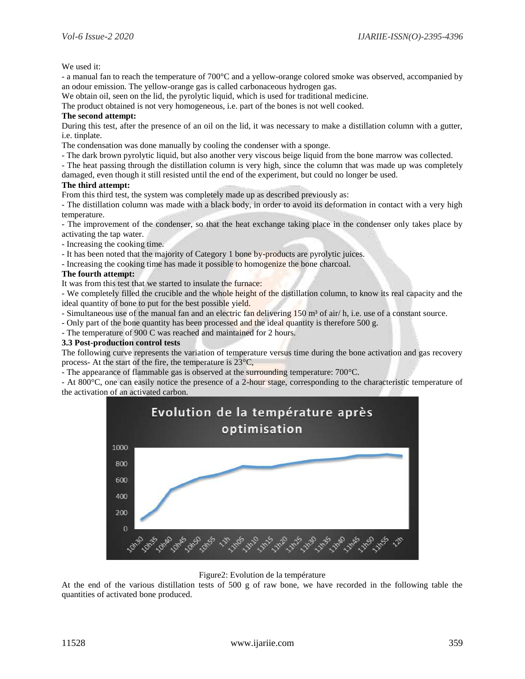We used it:

- a manual fan to reach the temperature of 700°C and a yellow-orange colored smoke was observed, accompanied by an odour emission. The yellow-orange gas is called carbonaceous hydrogen gas.

We obtain oil, seen on the lid, the pyrolytic liquid, which is used for traditional medicine.

The product obtained is not very homogeneous, i.e. part of the bones is not well cooked.

#### **The second attempt:**

During this test, after the presence of an oil on the lid, it was necessary to make a distillation column with a gutter, i.e. tinplate.

The condensation was done manually by cooling the condenser with a sponge.

- The dark brown pyrolytic liquid, but also another very viscous beige liquid from the bone marrow was collected.

- The heat passing through the distillation column is very high, since the column that was made up was completely damaged, even though it still resisted until the end of the experiment, but could no longer be used.

#### **The third attempt:**

From this third test, the system was completely made up as described previously as:

- The distillation column was made with a black body, in order to avoid its deformation in contact with a very high temperature.

- The improvement of the condenser, so that the heat exchange taking place in the condenser only takes place by activating the tap water.

- Increasing the cooking time.

- It has been noted that the majority of Category 1 bone by-products are pyrolytic juices.
- Increasing the cooking time has made it possible to homogenize the bone charcoal.

#### **The fourth attempt:**

It was from this test that we started to insulate the furnace:

- We completely filled the crucible and the whole height of the distillation column, to know its real capacity and the ideal quantity of bone to put for the best possible yield.

- Simultaneous use of the manual fan and an electric fan delivering  $150 \text{ m}^3$  of air/ h, i.e. use of a constant source.

- Only part of the bone quantity has been processed and the ideal quantity is therefore 500 g.

- The temperature of 900 C was reached and maintained for 2 hours.

#### **3.3 Post-production control tests**

The following curve represents the variation of temperature versus time during the bone activation and gas recovery process- At the start of the fire, the temperature is 23°C,

- The appearance of flammable gas is observed at the surrounding temperature: 700°C.

- At 800°C, one can easily notice the presence of a 2-hour stage, corresponding to the characteristic temperature of the activation of an activated carbon.



Figure2: Evolution de la température

At the end of the various distillation tests of 500 g of raw bone, we have recorded in the following table the quantities of activated bone produced.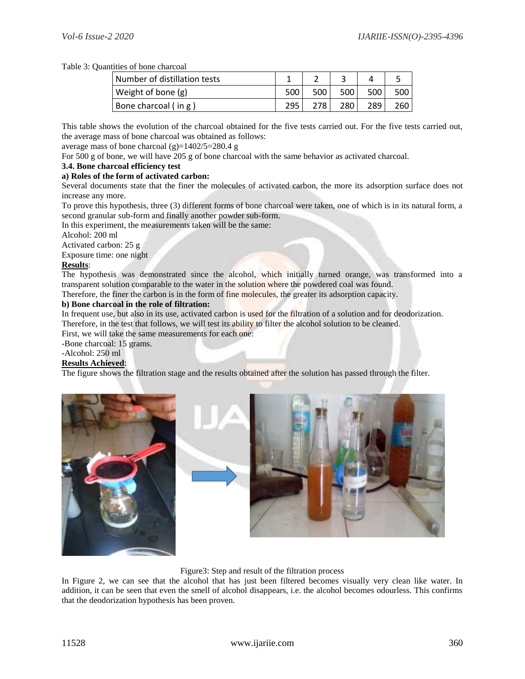## Table 3: Quantities of bone charcoal

| Number of distillation tests |     |      |     |     |     |
|------------------------------|-----|------|-----|-----|-----|
| Weight of bone (g)           | 500 | 500  | 500 | 500 | 500 |
| Bone charcoal (in g)         | 295 | 278. | 280 | 289 | 260 |

This table shows the evolution of the charcoal obtained for the five tests carried out. For the five tests carried out, the average mass of bone charcoal was obtained as follows:

average mass of bone charcoal (g)=1402/5=280.4 g

For 500 g of bone, we will have 205 g of bone charcoal with the same behavior as activated charcoal.

## **3.4. Bone charcoal efficiency test**

#### **a) Roles of the form of activated carbon:**

Several documents state that the finer the molecules of activated carbon, the more its adsorption surface does not increase any more.

To prove this hypothesis, three (3) different forms of bone charcoal were taken, one of which is in its natural form, a second granular sub-form and finally another powder sub-form.

In this experiment, the measurements taken will be the same:

Alcohol: 200 ml

Activated carbon: 25 g

Exposure time: one night

## **Results**:

The hypothesis was demonstrated since the alcohol, which initially turned orange, was transformed into a transparent solution comparable to the water in the solution where the powdered coal was found.

Therefore, the finer the carbon is in the form of fine molecules, the greater its adsorption capacity.

#### **b) Bone charcoal in the role of filtration:**

In frequent use, but also in its use, activated carbon is used for the filtration of a solution and for deodorization. Therefore, in the test that follows, we will test its ability to filter the alcohol solution to be cleaned.

First, we will take the same measurements for each one:

-Bone charcoal: 15 grams.

# -Alcohol: 250 ml

# **Results Achieved**:

The figure shows the filtration stage and the results obtained after the solution has passed through the filter.



#### Figure3: Step and result of the filtration process

In Figure 2, we can see that the alcohol that has just been filtered becomes visually very clean like water. In addition, it can be seen that even the smell of alcohol disappears, i.e. the alcohol becomes odourless. This confirms that the deodorization hypothesis has been proven.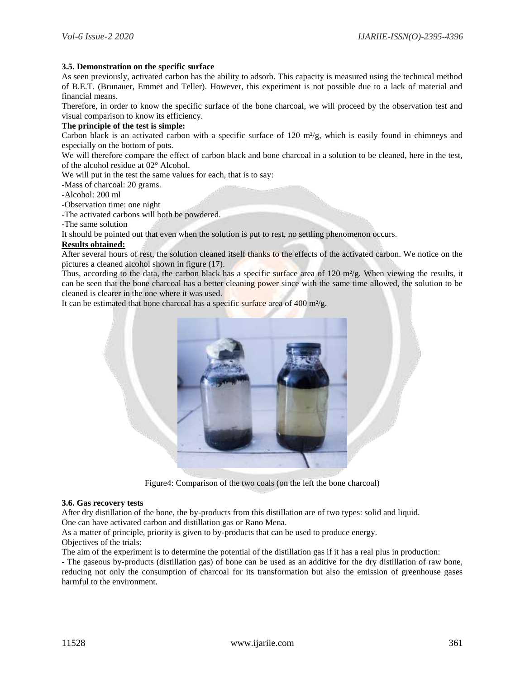#### **3.5. Demonstration on the specific surface**

As seen previously, activated carbon has the ability to adsorb. This capacity is measured using the technical method of B.E.T. (Brunauer, Emmet and Teller). However, this experiment is not possible due to a lack of material and financial means.

Therefore, in order to know the specific surface of the bone charcoal, we will proceed by the observation test and visual comparison to know its efficiency.

#### **The principle of the test is simple:**

Carbon black is an activated carbon with a specific surface of 120  $m<sup>2</sup>/g$ , which is easily found in chimneys and especially on the bottom of pots.

We will therefore compare the effect of carbon black and bone charcoal in a solution to be cleaned, here in the test, of the alcohol residue at 02° Alcohol.

We will put in the test the same values for each, that is to say:

-Mass of charcoal: 20 grams.

-Alcohol: 200 ml

-Observation time: one night

-The activated carbons will both be powdered.

-The same solution

It should be pointed out that even when the solution is put to rest, no settling phenomenon occurs.

## **Results obtained:**

After several hours of rest, the solution cleaned itself thanks to the effects of the activated carbon. We notice on the pictures a cleaned alcohol shown in figure (17).

Thus, according to the data, the carbon black has a specific surface area of 120 m<sup>2</sup>/g. When viewing the results, it can be seen that the bone charcoal has a better cleaning power since with the same time allowed, the solution to be cleaned is clearer in the one where it was used.

It can be estimated that bone charcoal has a specific surface area of  $400 \text{ m}^2/\text{g}$ .



Figure4: Comparison of the two coals (on the left the bone charcoal)

#### **3.6. Gas recovery tests**

After dry distillation of the bone, the by-products from this distillation are of two types: solid and liquid.

One can have activated carbon and distillation gas or Rano Mena.

As a matter of principle, priority is given to by-products that can be used to produce energy.

## Objectives of the trials:

The aim of the experiment is to determine the potential of the distillation gas if it has a real plus in production:

- The gaseous by-products (distillation gas) of bone can be used as an additive for the dry distillation of raw bone, reducing not only the consumption of charcoal for its transformation but also the emission of greenhouse gases harmful to the environment.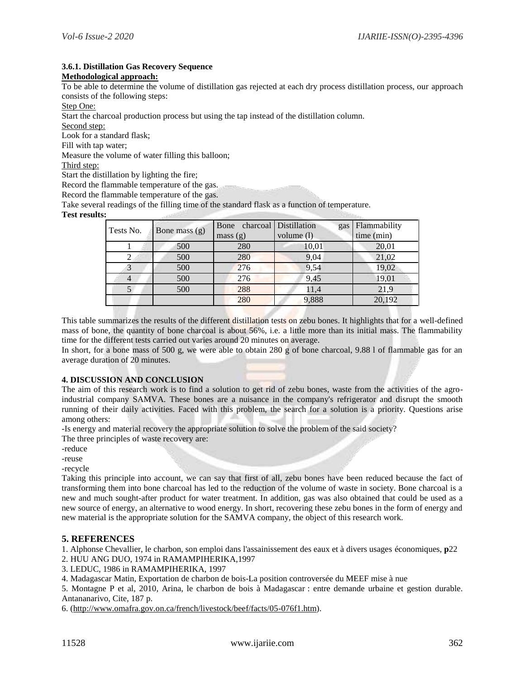#### **3.6.1. Distillation Gas Recovery Sequence**

#### **Methodological approach:**

To be able to determine the volume of distillation gas rejected at each dry process distillation process, our approach consists of the following steps:

Step One:

Start the charcoal production process but using the tap instead of the distillation column.

Second step:

Look for a standard flask;

Fill with tap water;

Measure the volume of water filling this balloon;

Third step:

Start the distillation by lighting the fire;

Record the flammable temperature of the gas.

Record the flammable temperature of the gas.

Take several readings of the filling time of the standard flask as a function of temperature.

#### **Test results:**

| Tests No. | Bone mass $(g)$ | Bone charcoal Distillation | gas        | Flammability |
|-----------|-----------------|----------------------------|------------|--------------|
|           |                 | mass(g)                    | volume (1) | time (min)   |
|           | 500             | 280                        | 10,01      | 20,01        |
|           | 500             | 280                        | 9,04       | 21,02        |
|           | 500             | 276                        | 9,54       | 19,02        |
|           | 500             | 276                        | 9,45       | 19,01        |
|           | 500             | 288                        | 11,4       | 21,9         |
|           |                 | 280                        | 9,888      | 20,192       |

This table summarizes the results of the different distillation tests on zebu bones. It highlights that for a well-defined mass of bone, the quantity of bone charcoal is about 56%, i.e. a little more than its initial mass. The flammability time for the different tests carried out varies around 20 minutes on average.

In short, for a bone mass of 500 g, we were able to obtain 280 g of bone charcoal, 9.88 l of flammable gas for an average duration of 20 minutes.

#### **4. DISCUSSION AND CONCLUSION**

The aim of this research work is to find a solution to get rid of zebu bones, waste from the activities of the agroindustrial company SAMVA. These bones are a nuisance in the company's refrigerator and disrupt the smooth running of their daily activities. Faced with this problem, the search for a solution is a priority. Questions arise among others:

-Is energy and material recovery the appropriate solution to solve the problem of the said society?

The three principles of waste recovery are:

-reduce

-reuse

-recycle

Taking this principle into account, we can say that first of all, zebu bones have been reduced because the fact of transforming them into bone charcoal has led to the reduction of the volume of waste in society. Bone charcoal is a new and much sought-after product for water treatment. In addition, gas was also obtained that could be used as a new source of energy, an alternative to wood energy. In short, recovering these zebu bones in the form of energy and new material is the appropriate solution for the SAMVA company, the object of this research work.

#### **5. REFERENCES**

1. Alphonse Chevallier, le charbon, son emploi dans l'assainissement des eaux et à divers usages économiques, **p**22

2. HUU ANG DUO, 1974 in RAMAMPIHERIKA,1997

3. LEDUC, 1986 in RAMAMPIHERIKA, 1997

4. Madagascar Matin, Exportation de charbon de bois-La position controversée du MEEF mise à nue

5. Montagne P et al, 2010, Arina, le charbon de bois à Madagascar : entre demande urbaine et gestion durable. Antananarivo, Cite, 187 p.

6. [\(http://www.omafra.gov.on.ca/french/livestock/beef/facts/05-076f1.htm\)](http://www.omafra.gov.on.ca/french/livestock/beef/facts/05-076f1.htm).